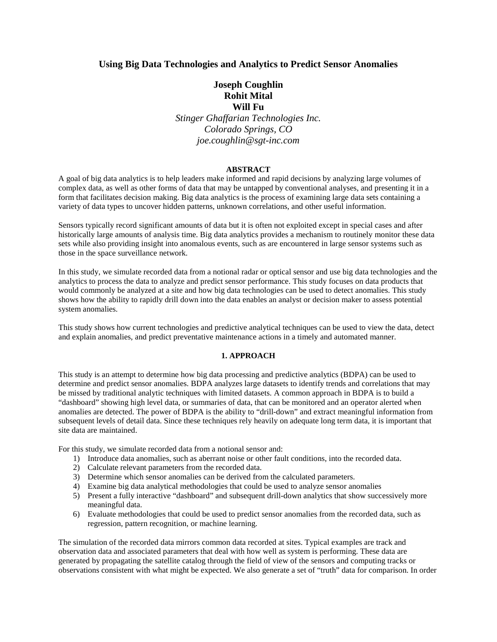# **Using Big Data Technologies and Analytics to Predict Sensor Anomalies**

# **Joseph Coughlin Rohit Mital Will Fu**

*Stinger Ghaffarian Technologies Inc. Colorado Springs, CO joe.coughlin@sgt-inc.com*

## **ABSTRACT**

A goal of big data analytics is to help leaders make informed and rapid decisions by analyzing large volumes of complex data, as well as other forms of data that may be untapped by conventional analyses, and presenting it in a form that facilitates decision making. Big data analytics is the process of examining large data sets containing a variety of data types to uncover hidden patterns, unknown correlations, and other useful information.

Sensors typically record significant amounts of data but it is often not exploited except in special cases and after historically large amounts of analysis time. Big data analytics provides a mechanism to routinely monitor these data sets while also providing insight into anomalous events, such as are encountered in large sensor systems such as those in the space surveillance network.

In this study, we simulate recorded data from a notional radar or optical sensor and use big data technologies and the analytics to process the data to analyze and predict sensor performance. This study focuses on data products that would commonly be analyzed at a site and how big data technologies can be used to detect anomalies. This study shows how the ability to rapidly drill down into the data enables an analyst or decision maker to assess potential system anomalies.

This study shows how current technologies and predictive analytical techniques can be used to view the data, detect and explain anomalies, and predict preventative maintenance actions in a timely and automated manner.

### **1. APPROACH**

This study is an attempt to determine how big data processing and predictive analytics (BDPA) can be used to determine and predict sensor anomalies. BDPA analyzes large datasets to identify trends and correlations that may be missed by traditional analytic techniques with limited datasets. A common approach in BDPA is to build a "dashboard" showing high level data, or summaries of data, that can be monitored and an operator alerted when anomalies are detected. The power of BDPA is the ability to "drill-down" and extract meaningful information from subsequent levels of detail data. Since these techniques rely heavily on adequate long term data, it is important that site data are maintained.

For this study, we simulate recorded data from a notional sensor and:

- 1) Introduce data anomalies, such as aberrant noise or other fault conditions, into the recorded data.
- 2) Calculate relevant parameters from the recorded data.
- 3) Determine which sensor anomalies can be derived from the calculated parameters.
- 4) Examine big data analytical methodologies that could be used to analyze sensor anomalies
- 5) Present a fully interactive "dashboard" and subsequent drill-down analytics that show successively more meaningful data.
- 6) Evaluate methodologies that could be used to predict sensor anomalies from the recorded data, such as regression, pattern recognition, or machine learning.

The simulation of the recorded data mirrors common data recorded at sites. Typical examples are track and observation data and associated parameters that deal with how well as system is performing. These data are generated by propagating the satellite catalog through the field of view of the sensors and computing tracks or observations consistent with what might be expected. We also generate a set of "truth" data for comparison. In order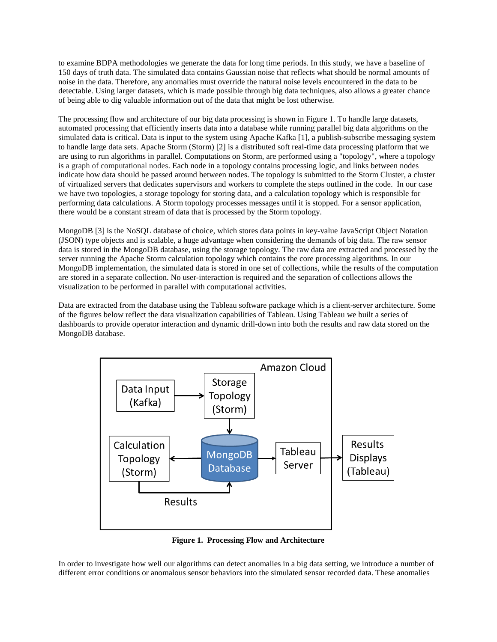to examine BDPA methodologies we generate the data for long time periods. In this study, we have a baseline of 150 days of truth data. The simulated data contains Gaussian noise that reflects what should be normal amounts of noise in the data. Therefore, any anomalies must override the natural noise levels encountered in the data to be detectable. Using larger datasets, which is made possible through big data techniques, also allows a greater chance of being able to dig valuable information out of the data that might be lost otherwise.

The processing flow and architecture of our big data processing is shown in [Figure 1.](#page-1-0) To handle large datasets, automated processing that efficiently inserts data into a database while running parallel big data algorithms on the simulated data is critical. Data is input to the system using Apache Kafka [1], a publish-subscribe messaging system to handle large data sets. Apache Storm (Storm) [2] is a distributed soft real-time data processing platform that we are using to run algorithms in parallel. Computations on Storm, are performed using a "topology", where a topology is a graph of computational nodes. Each node in a topology contains processing logic, and links between nodes indicate how data should be passed around between nodes. The topology is submitted to the Storm Cluster, a cluster of virtualized servers that dedicates supervisors and workers to complete the steps outlined in the code. In our case we have two topologies, a storage topology for storing data, and a calculation topology which is responsible for performing data calculations. A Storm topology processes messages until it is stopped. For a sensor application, there would be a constant stream of data that is processed by the Storm topology.

MongoDB [3] is the NoSQL database of choice, which stores data points in key-value JavaScript Object Notation (JSON) type objects and is scalable, a huge advantage when considering the demands of big data. The raw sensor data is stored in the MongoDB database, using the storage topology. The raw data are extracted and processed by the server running the Apache Storm calculation topology which contains the core processing algorithms. In our MongoDB implementation, the simulated data is stored in one set of collections, while the results of the computation are stored in a separate collection. No user-interaction is required and the separation of collections allows the visualization to be performed in parallel with computational activities.

Data are extracted from the database using the Tableau software package which is a client-server architecture. Some of the figures below reflect the data visualization capabilities of Tableau. Using Tableau we built a series of dashboards to provide operator interaction and dynamic drill-down into both the results and raw data stored on the MongoDB database.



**Figure 1. Processing Flow and Architecture**

<span id="page-1-0"></span>In order to investigate how well our algorithms can detect anomalies in a big data setting, we introduce a number of different error conditions or anomalous sensor behaviors into the simulated sensor recorded data. These anomalies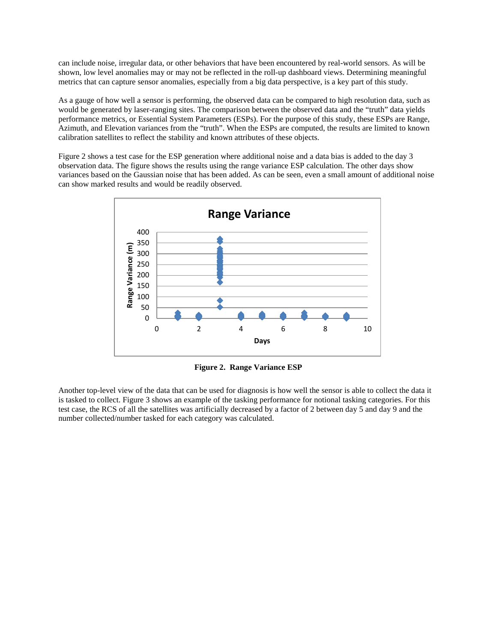can include noise, irregular data, or other behaviors that have been encountered by real-world sensors. As will be shown, low level anomalies may or may not be reflected in the roll-up dashboard views. Determining meaningful metrics that can capture sensor anomalies, especially from a big data perspective, is a key part of this study.

As a gauge of how well a sensor is performing, the observed data can be compared to high resolution data, such as would be generated by laser-ranging sites. The comparison between the observed data and the "truth" data yields performance metrics, or Essential System Parameters (ESPs). For the purpose of this study, these ESPs are Range, Azimuth, and Elevation variances from the "truth". When the ESPs are computed, the results are limited to known calibration satellites to reflect the stability and known attributes of these objects.

[Figure 2](#page-2-0) shows a test case for the ESP generation where additional noise and a data bias is added to the day 3 observation data. The figure shows the results using the range variance ESP calculation. The other days show variances based on the Gaussian noise that has been added. As can be seen, even a small amount of additional noise can show marked results and would be readily observed.



**Figure 2. Range Variance ESP**

<span id="page-2-0"></span>Another top-level view of the data that can be used for diagnosis is how well the sensor is able to collect the data it is tasked to collect. [Figure 3](#page-3-0) shows an example of the tasking performance for notional tasking categories. For this test case, the RCS of all the satellites was artificially decreased by a factor of 2 between day 5 and day 9 and the number collected/number tasked for each category was calculated.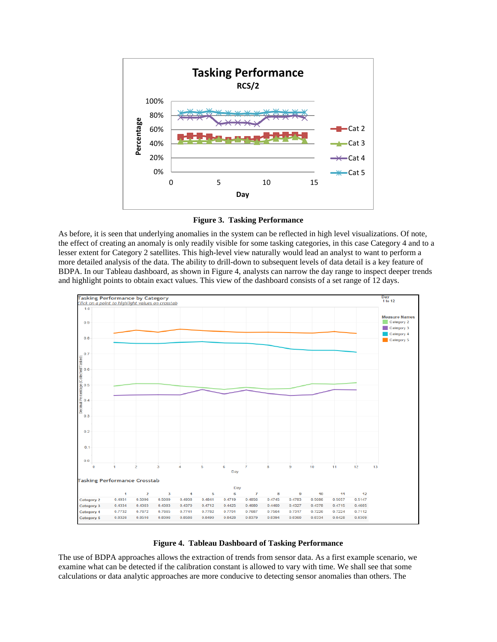

**Figure 3. Tasking Performance**

<span id="page-3-0"></span>As before, it is seen that underlying anomalies in the system can be reflected in high level visualizations. Of note, the effect of creating an anomaly is only readily visible for some tasking categories, in this case Category 4 and to a lesser extent for Category 2 satellites. This high-level view naturally would lead an analyst to want to perform a more detailed analysis of the data. The ability to drill-down to subsequent levels of data detail is a key feature of BDPA. In our Tableau dashboard, as shown in [Figure 4,](#page-3-1) analysts can narrow the day range to inspect deeper trends and highlight points to obtain exact values. This view of the dashboard consists of a set range of 12 days.



### **Figure 4. Tableau Dashboard of Tasking Performance**

<span id="page-3-1"></span>The use of BDPA approaches allows the extraction of trends from sensor data. As a first example scenario, we examine what can be detected if the calibration constant is allowed to vary with time. We shall see that some calculations or data analytic approaches are more conducive to detecting sensor anomalies than others. The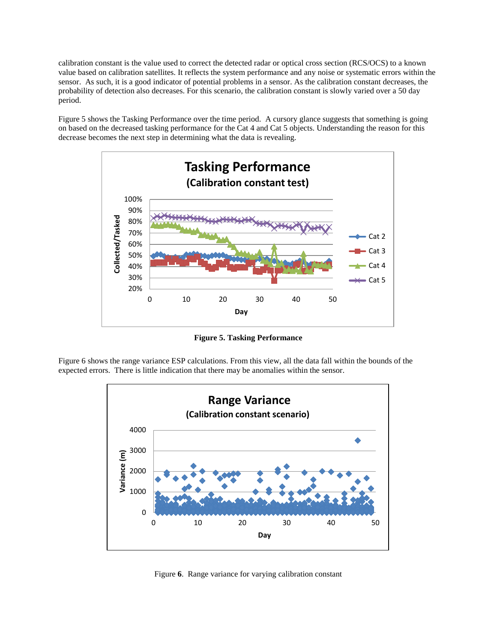calibration constant is the value used to correct the detected radar or optical cross section (RCS/OCS) to a known value based on calibration satellites. It reflects the system performance and any noise or systematic errors within the sensor. As such, it is a good indicator of potential problems in a sensor. As the calibration constant decreases, the probability of detection also decreases. For this scenario, the calibration constant is slowly varied over a 50 day period.

[Figure 5](#page-4-0) shows the Tasking Performance over the time period. A cursory glance suggests that something is going on based on the decreased tasking performance for the Cat 4 and Cat 5 objects. Understanding the reason for this decrease becomes the next step in determining what the data is revealing.



**Figure 5. Tasking Performance**

<span id="page-4-0"></span>[Figure](#page-4-1) 6 shows the range variance ESP calculations. From this view, all the data fall within the bounds of the expected errors. There is little indication that there may be anomalies within the sensor.



<span id="page-4-1"></span>Figure **6**. Range variance for varying calibration constant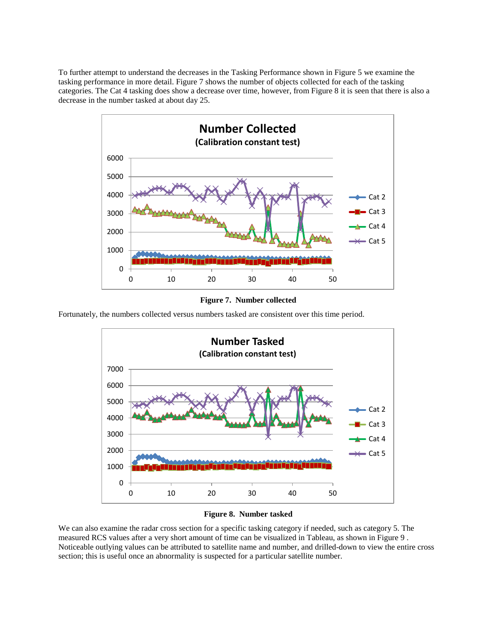To further attempt to understand the decreases in the Tasking Performance shown in [Figure 5](#page-4-0) we examine the tasking performance in more detail. [Figure 7](#page-5-0) shows the number of objects collected for each of the tasking categories. The Cat 4 tasking does show a decrease over time, however, fro[m Figure 8](#page-5-1) it is seen that there is also a decrease in the number tasked at about day 25.



**Figure 7. Number collected**

<span id="page-5-0"></span>Fortunately, the numbers collected versus numbers tasked are consistent over this time period.





<span id="page-5-1"></span>We can also examine the radar cross section for a specific tasking category if needed, such as category 5. The measured RCS values after a very short amount of time can be visualized in Tableau, as shown in [Figure 9](#page-6-0) . Noticeable outlying values can be attributed to satellite name and number, and drilled-down to view the entire cross section; this is useful once an abnormality is suspected for a particular satellite number.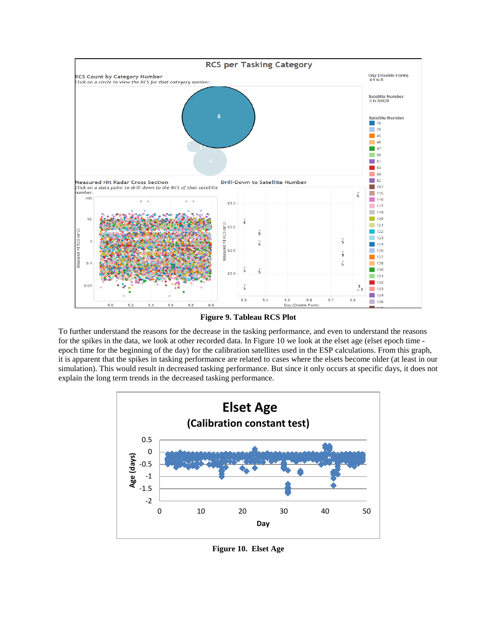

**Figure 9. Tableau RCS Plot**

<span id="page-6-0"></span>To further understand the reasons for the decrease in the tasking performance, and even to understand the reasons for the spikes in the data, we look at other recorded data. In [Figure 10](#page-6-1) we look at the elset age (elset epoch time epoch time for the beginning of the day) for the calibration satellites used in the ESP calculations. From this graph, it is apparent that the spikes in tasking performance are related to cases where the elsets become older (at least in our simulation). This would result in decreased tasking performance. But since it only occurs at specific days, it does not explain the long term trends in the decreased tasking performance.



<span id="page-6-1"></span>**Figure 10. Elset Age**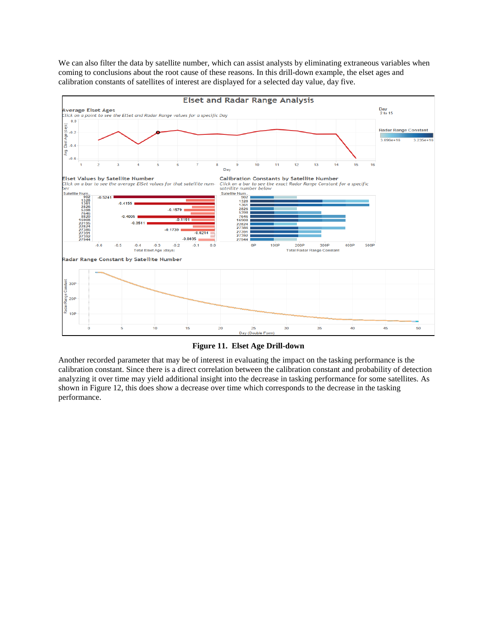We can also filter the data by satellite number, which can assist analysts by eliminating extraneous variables when coming to conclusions about the root cause of these reasons. In this drill-down example, the elset ages and calibration constants of satellites of interest are displayed for a selected day value, day five.



**Figure 11. Elset Age Drill-down**

Another recorded parameter that may be of interest in evaluating the impact on the tasking performance is the calibration constant. Since there is a direct correlation between the calibration constant and probability of detection analyzing it over time may yield additional insight into the decrease in tasking performance for some satellites. As shown in [Figure 12,](#page-8-0) this does show a decrease over time which corresponds to the decrease in the tasking performance.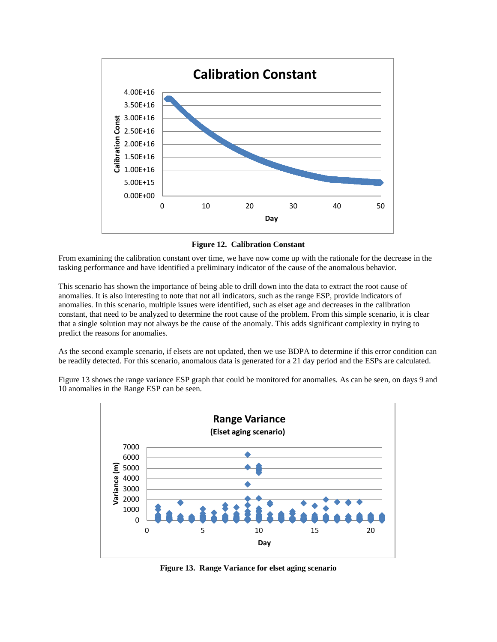

**Figure 12. Calibration Constant**

<span id="page-8-0"></span>From examining the calibration constant over time, we have now come up with the rationale for the decrease in the tasking performance and have identified a preliminary indicator of the cause of the anomalous behavior.

This scenario has shown the importance of being able to drill down into the data to extract the root cause of anomalies. It is also interesting to note that not all indicators, such as the range ESP, provide indicators of anomalies. In this scenario, multiple issues were identified, such as elset age and decreases in the calibration constant, that need to be analyzed to determine the root cause of the problem. From this simple scenario, it is clear that a single solution may not always be the cause of the anomaly. This adds significant complexity in trying to predict the reasons for anomalies.

As the second example scenario, if elsets are not updated, then we use BDPA to determine if this error condition can be readily detected. For this scenario, anomalous data is generated for a 21 day period and the ESPs are calculated.

[Figure 13](#page-8-1) shows the range variance ESP graph that could be monitored for anomalies. As can be seen, on days 9 and 10 anomalies in the Range ESP can be seen.



<span id="page-8-1"></span>**Figure 13. Range Variance for elset aging scenario**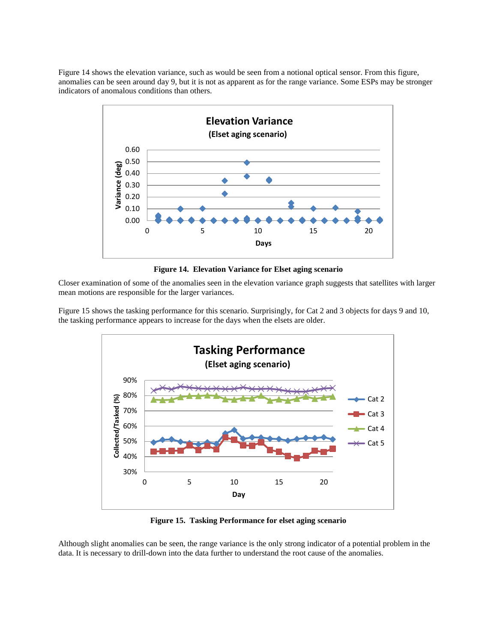[Figure 14](#page-9-0) shows the elevation variance, such as would be seen from a notional optical sensor. From this figure, anomalies can be seen around day 9, but it is not as apparent as for the range variance. Some ESPs may be stronger indicators of anomalous conditions than others.



**Figure 14. Elevation Variance for Elset aging scenario**

<span id="page-9-0"></span>Closer examination of some of the anomalies seen in the elevation variance graph suggests that satellites with larger mean motions are responsible for the larger variances.

[Figure 15](#page-9-1) shows the tasking performance for this scenario. Surprisingly, for Cat 2 and 3 objects for days 9 and 10, the tasking performance appears to increase for the days when the elsets are older.



**Figure 15. Tasking Performance for elset aging scenario**

<span id="page-9-1"></span>Although slight anomalies can be seen, the range variance is the only strong indicator of a potential problem in the data. It is necessary to drill-down into the data further to understand the root cause of the anomalies.